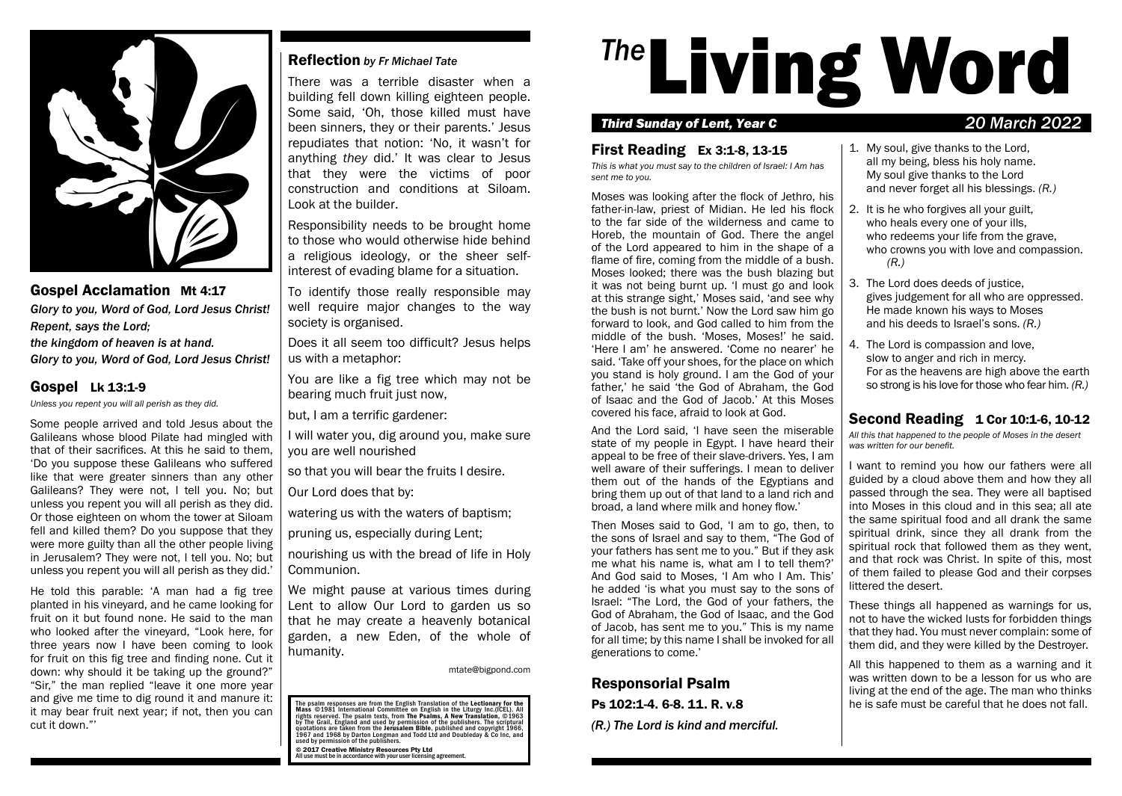

## Gospel Acclamation Mt 4:17

*Glory to you, Word of God, Lord Jesus Christ! Repent, says the Lord; the kingdom of heaven is at hand.*

*Glory to you, Word of God, Lord Jesus Christ!*

## Gospel Lk 13:1-9

*Unless you repent you will all perish as they did.*

Some people arrived and told Jesus about the Galileans whose blood Pilate had mingled with that of their sacrifices. At this he said to them, 'Do you suppose these Galileans who suffered like that were greater sinners than any other Galileans? They were not, I tell you. No; but unless you repent you will all perish as they did. Or those eighteen on whom the tower at Siloam fell and killed them? Do you suppose that they were more guilty than all the other people living in Jerusalem? They were not, I tell you. No; but unless you repent you will all perish as they did.'

He told this parable: 'A man had a fig tree planted in his vineyard, and he came looking for fruit on it but found none. He said to the man who looked after the vineyard, "Look here, for three years now I have been coming to look for fruit on this fig tree and finding none. Cut it down: why should it be taking up the ground?" "Sir," the man replied "leave it one more year and give me time to dig round it and manure it: it may bear fruit next year; if not, then you can cut it down."'

## Reflection *by Fr Michael Tate*

There was a terrible disaster when a building fell down killing eighteen people. Some said, 'Oh, those killed must have been sinners, they or their parents.' Jesus repudiates that notion: 'No, it wasn't for anything *they* did.' It was clear to Jesus that they were the victims of poor construction and conditions at Siloam. Look at the builder.

Responsibility needs to be brought home to those who would otherwise hide behind a religious ideology, or the sheer selfinterest of evading blame for a situation.

To identify those really responsible may well require major changes to the way society is organised.

Does it all seem too difficult? Jesus helps us with a metaphor:

You are like a fig tree which may not be bearing much fruit just now.

but, I am a terrific gardener:

I will water you, dig around you, make sure you are well nourished

so that you will bear the fruits I desire.

Our Lord does that by:

watering us with the waters of baptism;

pruning us, especially during Lent;

nourishing us with the bread of life in Holy Communion.

We might pause at various times during Lent to allow Our Lord to garden us so that he may create a heavenly botanical garden, a new Eden, of the whole of humanity.

mtate@bigpond.com

The psalm responses are from the English Translation of the Lectionary for the<br>Mass ©1981 International Committee on English in the Liturgy Inc.(ICEL). All rights reserved. The psalm texts, from The Psalms, A New Translation, ©1963<br>by The Grail, England and used by permission of the publishers. The scriptural<br>quotations are taken from the Jerusalem Bible, published and copyri

© 2017 Creative Ministry Resources Pty Ltd All use must be in accordance with your user licensing agreement.

# <sup>The</sup>Living Word

## *Third Sunday of Lent, Year C 20 March 2022*

#### First Reading Ex 3:1-8, 13-15

*This is what you must say to the children of Israel: I Am has sent me to you.*

Moses was looking after the flock of Jethro, his father-in-law, priest of Midian. He led his flock to the far side of the wilderness and came to Horeb, the mountain of God. There the angel of the Lord appeared to him in the shape of a flame of fire, coming from the middle of a bush. Moses looked; there was the bush blazing but it was not being burnt up. 'I must go and look at this strange sight,' Moses said, 'and see why the bush is not burnt.' Now the Lord saw him go forward to look, and God called to him from the middle of the bush. 'Moses, Moses!' he said. 'Here I am' he answered. 'Come no nearer' he said. 'Take off your shoes, for the place on which you stand is holy ground. I am the God of your father,' he said 'the God of Abraham, the God of Isaac and the God of Jacob.' At this Moses covered his face, afraid to look at God.

And the Lord said, 'I have seen the miserable state of my people in Egypt. I have heard their appeal to be free of their slave-drivers. Yes, I am well aware of their sufferings. I mean to deliver them out of the hands of the Egyptians and bring them up out of that land to a land rich and broad, a land where milk and honey flow.'

Then Moses said to God, 'I am to go, then, to the sons of Israel and say to them, "The God of your fathers has sent me to you." But if they ask me what his name is, what am I to tell them?' And God said to Moses, 'I Am who I Am. This' he added 'is what you must say to the sons of Israel: "The Lord, the God of your fathers, the God of Abraham, the God of Isaac, and the God of Jacob, has sent me to you." This is my name for all time; by this name I shall be invoked for all generations to come.'

Responsorial Psalm Ps 102:1-4. 6-8. 11. R. v.8 *(R.) The Lord is kind and merciful.* 1. My soul, give thanks to the Lord, all my being, bless his holy name. My soul give thanks to the Lord and never forget all his blessings. *(R.)*

- 2. It is he who forgives all your guilt, who heals every one of your ills, who redeems your life from the grave, who crowns you with love and compassion. *(R.)*
- 3. The Lord does deeds of justice, gives judgement for all who are oppressed. He made known his ways to Moses and his deeds to Israel's sons. *(R.)*
- 4. The Lord is compassion and love, slow to anger and rich in mercy. For as the heavens are high above the earth so strong is his love for those who fear him. *(R.)*

# Second Reading 1 Cor 10:1-6, 10-12

*All this that happened to the people of Moses in the desert was written for our benefit.*

I want to remind you how our fathers were all guided by a cloud above them and how they all passed through the sea. They were all baptised into Moses in this cloud and in this sea; all ate the same spiritual food and all drank the same spiritual drink, since they all drank from the spiritual rock that followed them as they went, and that rock was Christ. In spite of this, most of them failed to please God and their corpses littered the desert.

These things all happened as warnings for us, not to have the wicked lusts for forbidden things that they had. You must never complain: some of them did, and they were killed by the Destroyer.

All this happened to them as a warning and it was written down to be a lesson for us who are living at the end of the age. The man who thinks he is safe must be careful that he does not fall.